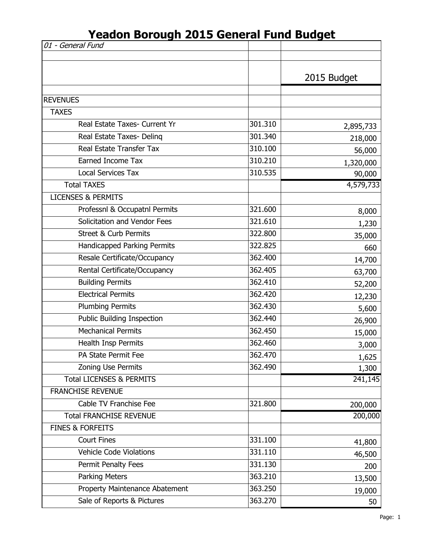| 01 - General Fund                   |         |             |
|-------------------------------------|---------|-------------|
|                                     |         |             |
|                                     |         | 2015 Budget |
|                                     |         |             |
| <b>REVENUES</b>                     |         |             |
| <b>TAXES</b>                        |         |             |
| Real Estate Taxes- Current Yr       | 301.310 | 2,895,733   |
| Real Estate Taxes- Deling           | 301.340 | 218,000     |
| Real Estate Transfer Tax            | 310.100 | 56,000      |
| Earned Income Tax                   | 310.210 | 1,320,000   |
| <b>Local Services Tax</b>           | 310.535 | 90,000      |
| <b>Total TAXES</b>                  |         | 4,579,733   |
| <b>LICENSES &amp; PERMITS</b>       |         |             |
| Professnl & Occupatnl Permits       | 321.600 | 8,000       |
| Solicitation and Vendor Fees        | 321.610 | 1,230       |
| <b>Street &amp; Curb Permits</b>    | 322.800 | 35,000      |
| Handicapped Parking Permits         | 322.825 | 660         |
| Resale Certificate/Occupancy        | 362.400 | 14,700      |
| Rental Certificate/Occupancy        | 362.405 | 63,700      |
| <b>Building Permits</b>             | 362.410 | 52,200      |
| <b>Electrical Permits</b>           | 362.420 | 12,230      |
| <b>Plumbing Permits</b>             | 362.430 | 5,600       |
| <b>Public Building Inspection</b>   | 362.440 | 26,900      |
| <b>Mechanical Permits</b>           | 362.450 | 15,000      |
| Health Insp Permits                 | 362.460 | 3,000       |
| PA State Permit Fee                 | 362.470 | 1,625       |
| Zoning Use Permits                  | 362.490 | 1,300       |
| <b>Total LICENSES &amp; PERMITS</b> |         | 241,145     |
| <b>FRANCHISE REVENUE</b>            |         |             |
| Cable TV Franchise Fee              | 321.800 | 200,000     |
| <b>Total FRANCHISE REVENUE</b>      |         | 200,000     |
| <b>FINES &amp; FORFEITS</b>         |         |             |
| <b>Court Fines</b>                  | 331.100 | 41,800      |
| <b>Vehicle Code Violations</b>      | 331.110 | 46,500      |
| Permit Penalty Fees                 | 331.130 | 200         |
| Parking Meters                      | 363.210 | 13,500      |
| Property Maintenance Abatement      | 363.250 | 19,000      |
| Sale of Reports & Pictures          | 363.270 | 50          |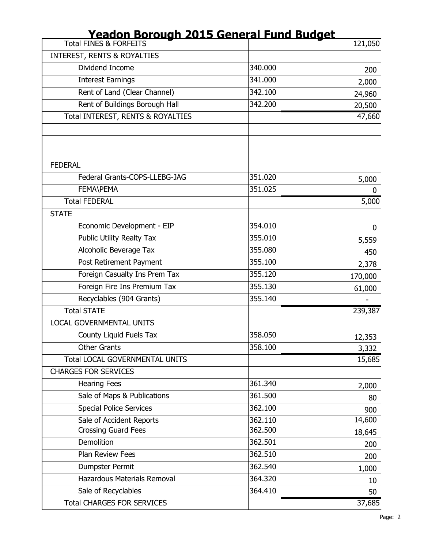| <u>readon Borough Zots General Fund Budget</u> |         |         |
|------------------------------------------------|---------|---------|
| <b>Total FINES &amp; FORFEITS</b>              |         | 121,050 |
| <b>INTEREST, RENTS &amp; ROYALTIES</b>         |         |         |
| Dividend Income                                | 340.000 | 200     |
| <b>Interest Earnings</b>                       | 341.000 | 2,000   |
| Rent of Land (Clear Channel)                   | 342.100 | 24,960  |
| Rent of Buildings Borough Hall                 | 342.200 | 20,500  |
| Total INTEREST, RENTS & ROYALTIES              |         | 47,660  |
|                                                |         |         |
|                                                |         |         |
|                                                |         |         |
| <b>FEDERAL</b>                                 |         |         |
| Federal Grants-COPS-LLEBG-JAG                  | 351.020 | 5,000   |
| FEMA\PEMA                                      | 351.025 | 0       |
| <b>Total FEDERAL</b>                           |         | 5,000   |
| <b>STATE</b>                                   |         |         |
| Economic Development - EIP                     | 354.010 | 0       |
| <b>Public Utility Realty Tax</b>               | 355.010 | 5,559   |
| Alcoholic Beverage Tax                         | 355.080 | 450     |
| Post Retirement Payment                        | 355.100 | 2,378   |
| Foreign Casualty Ins Prem Tax                  | 355.120 | 170,000 |
| Foreign Fire Ins Premium Tax                   | 355.130 | 61,000  |
| Recyclables (904 Grants)                       | 355.140 |         |
| <b>Total STATE</b>                             |         | 239,387 |
| <b>LOCAL GOVERNMENTAL UNITS</b>                |         |         |
| County Liquid Fuels Tax                        | 358.050 | 12,353  |
| <b>Other Grants</b>                            | 358.100 | 3,332   |
| <b>Total LOCAL GOVERNMENTAL UNITS</b>          |         | 15,685  |
| <b>CHARGES FOR SERVICES</b>                    |         |         |
| <b>Hearing Fees</b>                            | 361.340 | 2,000   |
| Sale of Maps & Publications                    | 361.500 | 80      |
| <b>Special Police Services</b>                 | 362.100 | 900     |
| Sale of Accident Reports                       | 362.110 | 14,600  |
| <b>Crossing Guard Fees</b>                     | 362.500 | 18,645  |
| Demolition                                     | 362.501 | 200     |
| Plan Review Fees                               | 362.510 | 200     |
| Dumpster Permit                                | 362.540 | 1,000   |
| Hazardous Materials Removal                    | 364.320 | 10      |
| Sale of Recyclables                            | 364.410 | 50      |
| <b>Total CHARGES FOR SERVICES</b>              |         | 37,685  |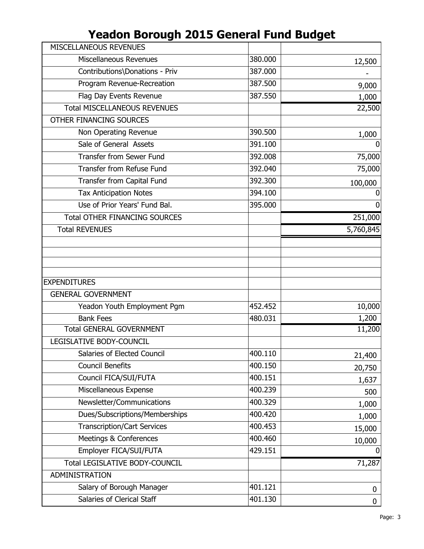| MISCELLANEOUS REVENUES                          |         |                    |
|-------------------------------------------------|---------|--------------------|
| Miscellaneous Revenues                          | 380.000 | 12,500             |
| Contributions\Donations - Priv                  | 387.000 |                    |
| Program Revenue-Recreation                      | 387.500 | 9,000              |
| Flag Day Events Revenue                         | 387.550 | 1,000              |
| <b>Total MISCELLANEOUS REVENUES</b>             |         | 22,500             |
| OTHER FINANCING SOURCES                         |         |                    |
| Non Operating Revenue                           | 390.500 | 1,000              |
| Sale of General Assets                          | 391.100 | 0                  |
| <b>Transfer from Sewer Fund</b>                 | 392.008 | 75,000             |
| <b>Transfer from Refuse Fund</b>                | 392.040 | 75,000             |
| Transfer from Capital Fund                      | 392.300 | 100,000            |
| <b>Tax Anticipation Notes</b>                   | 394.100 | $\Omega$           |
| Use of Prior Years' Fund Bal.                   | 395.000 | 0                  |
| <b>Total OTHER FINANCING SOURCES</b>            |         | 251,000            |
| <b>Total REVENUES</b>                           |         | 5,760,845          |
|                                                 |         |                    |
|                                                 |         |                    |
|                                                 |         |                    |
| <b>EXPENDITURES</b>                             |         |                    |
| <b>GENERAL GOVERNMENT</b>                       |         |                    |
|                                                 |         |                    |
|                                                 | 452.452 |                    |
| Yeadon Youth Employment Pgm<br><b>Bank Fees</b> | 480.031 | 1,200              |
| <b>Total GENERAL GOVERNMENT</b>                 |         | 11,200             |
| LEGISLATIVE BODY-COUNCIL                        |         |                    |
| Salaries of Elected Council                     | 400.110 | 10,000             |
| <b>Council Benefits</b>                         | 400.150 | 21,400             |
| Council FICA/SUI/FUTA                           | 400.151 | 20,750             |
| Miscellaneous Expense                           | 400.239 | 1,637<br>500       |
| Newsletter/Communications                       | 400.329 |                    |
| Dues/Subscriptions/Memberships                  | 400.420 | 1,000              |
| <b>Transcription/Cart Services</b>              | 400.453 | 1,000              |
| Meetings & Conferences                          | 400.460 | 15,000             |
| Employer FICA/SUI/FUTA                          | 429.151 | 10,000<br>$\Omega$ |
| <b>Total LEGISLATIVE BODY-COUNCIL</b>           |         | 71,287             |
| ADMINISTRATION                                  |         |                    |
| Salary of Borough Manager                       | 401.121 | 0                  |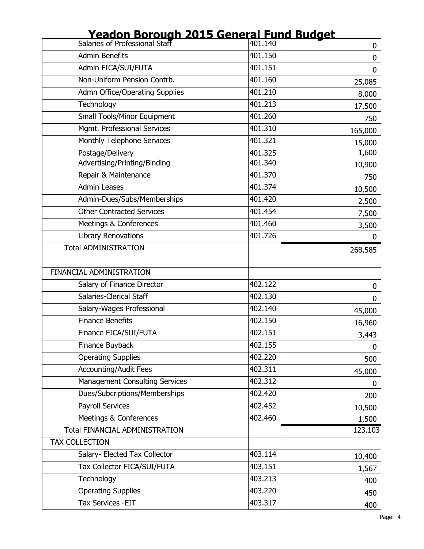| <u> Duruuyii Zuli</u>                 |         |          |
|---------------------------------------|---------|----------|
| Salaries of Professional Staff        | 401.140 | 0        |
| <b>Admin Benefits</b>                 | 401.150 | 0        |
| Admin FICA/SUI/FUTA                   | 401.151 | 0        |
| Non-Uniform Pension Contrb.           | 401.160 | 25,085   |
| <b>Admn Office/Operating Supplies</b> | 401.210 | 8,000    |
| Technology                            | 401.213 | 17,500   |
| <b>Small Tools/Minor Equipment</b>    | 401.260 | 750      |
| Mgmt. Professional Services           | 401.310 | 165,000  |
| Monthly Telephone Services            | 401.321 | 15,000   |
| Postage/Delivery                      | 401.325 | 1,600    |
| Advertising/Printing/Binding          | 401.340 | 10,900   |
| Repair & Maintenance                  | 401.370 | 750      |
| <b>Admin Leases</b>                   | 401.374 | 10,500   |
| Admin-Dues/Subs/Memberships           | 401.420 | 2,500    |
| <b>Other Contracted Services</b>      | 401.454 | 7,500    |
| Meetings & Conferences                | 401.460 | 3,500    |
| <b>Library Renovations</b>            | 401.726 | $\Omega$ |
| <b>Total ADMINISTRATION</b>           |         | 268,585  |
| FINANCIAL ADMINISTRATION              |         |          |
| Salary of Finance Director            | 402.122 | 0        |
| Salaries-Clerical Staff               | 402.130 | 0        |
| Salary-Wages Professional             | 402.140 | 45,000   |
| <b>Finance Benefits</b>               | 402.150 | 16,960   |
| Finance FICA/SUI/FUTA                 | 402.151 | 3,443    |
| Finance Buyback                       | 402.155 | 0        |
| <b>Operating Supplies</b>             | 402.220 | 500      |
| <b>Accounting/Audit Fees</b>          | 402.311 | 45,000   |
| <b>Management Consulting Services</b> | 402.312 | 0        |
| Dues/Subcriptions/Memberships         | 402.420 | 200      |
| <b>Payroll Services</b>               | 402.452 | 10,500   |
| Meetings & Conferences                | 402.460 | 1,500    |
| <b>Total FINANCIAL ADMINISTRATION</b> |         | 123,103  |
| <b>TAX COLLECTION</b>                 |         |          |
| Salary- Elected Tax Collector         | 403.114 | 10,400   |
| Tax Collector FICA/SUI/FUTA           | 403.151 | 1,567    |
| Technology                            | 403.213 | 400      |
| <b>Operating Supplies</b>             | 403.220 | 450      |
| Tax Services - EIT                    | 403.317 | 400      |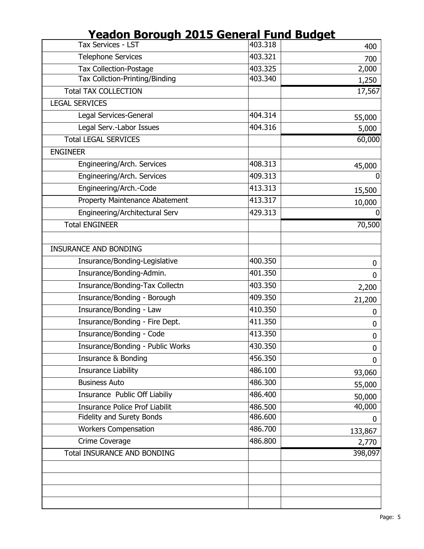| <u>I Cauvii Dolvuqii Zvij Jelicial I uliu Duuqet</u> |         |             |
|------------------------------------------------------|---------|-------------|
| Tax Services - LST                                   | 403.318 | 400         |
| <b>Telephone Services</b>                            | 403.321 | 700         |
| <b>Tax Collection-Postage</b>                        | 403.325 | 2,000       |
| Tax Collction-Printing/Binding                       | 403.340 | 1,250       |
| <b>Total TAX COLLECTION</b>                          |         | 17,567      |
| <b>LEGAL SERVICES</b>                                |         |             |
| Legal Services-General                               | 404.314 | 55,000      |
| Legal Serv.-Labor Issues                             | 404.316 | 5,000       |
| <b>Total LEGAL SERVICES</b>                          |         | 60,000      |
| <b>ENGINEER</b>                                      |         |             |
| Engineering/Arch. Services                           | 408.313 | 45,000      |
| Engineering/Arch. Services                           | 409.313 | 0           |
| Engineering/Arch.-Code                               | 413.313 | 15,500      |
| Property Maintenance Abatement                       | 413.317 | 10,000      |
| Engineering/Architectural Serv                       | 429.313 | $\Omega$    |
| <b>Total ENGINEER</b>                                |         | 70,500      |
|                                                      |         |             |
| <b>INSURANCE AND BONDING</b>                         |         |             |
| Insurance/Bonding-Legislative                        | 400.350 | 0           |
| Insurance/Bonding-Admin.                             | 401.350 | 0           |
| Insurance/Bonding-Tax Collectn                       | 403.350 | 2,200       |
| Insurance/Bonding - Borough                          | 409.350 | 21,200      |
| Insurance/Bonding - Law                              | 410.350 | 0           |
| Insurance/Bonding - Fire Dept.                       | 411.350 | 0           |
| Insurance/Bonding - Code                             | 413.350 | 0           |
| Insurance/Bonding - Public Works                     | 430.350 | $\mathbf 0$ |
| Insurance & Bonding                                  | 456.350 | 0           |
| <b>Insurance Liability</b>                           | 486.100 | 93,060      |
| <b>Business Auto</b>                                 | 486.300 | 55,000      |
| Insurance Public Off Liabiliy                        | 486.400 | 50,000      |
| <b>Insurance Police Prof Liabilit</b>                | 486.500 | 40,000      |
| Fidelity and Surety Bonds                            | 486.600 | $\bf{0}$    |
| <b>Workers Compensation</b>                          | 486.700 | 133,867     |
| Crime Coverage                                       | 486.800 | 2,770       |
| <b>Total INSURANCE AND BONDING</b>                   |         | 398,097     |
|                                                      |         |             |
|                                                      |         |             |
|                                                      |         |             |
|                                                      |         |             |
|                                                      |         |             |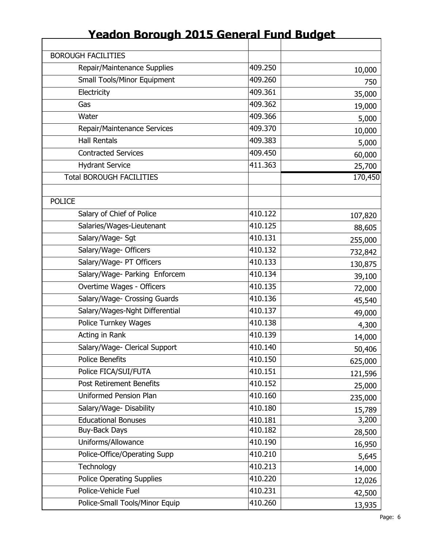| <b>BOROUGH FACILITIES</b>          |         |         |
|------------------------------------|---------|---------|
| Repair/Maintenance Supplies        | 409.250 | 10,000  |
| <b>Small Tools/Minor Equipment</b> | 409.260 | 750     |
| Electricity                        | 409.361 | 35,000  |
| Gas                                | 409.362 | 19,000  |
| Water                              | 409.366 | 5,000   |
| Repair/Maintenance Services        | 409.370 | 10,000  |
| <b>Hall Rentals</b>                | 409.383 | 5,000   |
| <b>Contracted Services</b>         | 409.450 | 60,000  |
| <b>Hydrant Service</b>             | 411.363 | 25,700  |
| <b>Total BOROUGH FACILITIES</b>    |         | 170,450 |
|                                    |         |         |
| <b>POLICE</b>                      |         |         |
| Salary of Chief of Police          | 410.122 | 107,820 |
| Salaries/Wages-Lieutenant          | 410.125 | 88,605  |
| Salary/Wage- Sgt                   | 410.131 | 255,000 |
| Salary/Wage- Officers              | 410.132 | 732,842 |
| Salary/Wage- PT Officers           | 410.133 | 130,875 |
| Salary/Wage- Parking Enforcem      | 410.134 | 39,100  |
| Overtime Wages - Officers          | 410.135 | 72,000  |
| Salary/Wage- Crossing Guards       | 410.136 | 45,540  |
| Salary/Wages-Nght Differential     | 410.137 | 49,000  |
| Police Turnkey Wages               | 410.138 | 4,300   |
| Acting in Rank                     | 410.139 | 14,000  |
| Salary/Wage- Clerical Support      | 410.140 | 50,406  |
| Police Benefits                    | 410.150 | 625,000 |
| Police FICA/SUI/FUTA               | 410.151 | 121,596 |
| <b>Post Retirement Benefits</b>    | 410.152 | 25,000  |
| Uniformed Pension Plan             | 410.160 | 235,000 |
| Salary/Wage-Disability             | 410.180 | 15,789  |
| <b>Educational Bonuses</b>         | 410.181 | 3,200   |
| <b>Buy-Back Days</b>               | 410.182 | 28,500  |
| Uniforms/Allowance                 | 410.190 | 16,950  |
| Police-Office/Operating Supp       | 410.210 | 5,645   |
| Technology                         | 410.213 | 14,000  |
| <b>Police Operating Supplies</b>   | 410.220 | 12,026  |
| Police-Vehicle Fuel                | 410.231 | 42,500  |
| Police-Small Tools/Minor Equip     | 410.260 | 13,935  |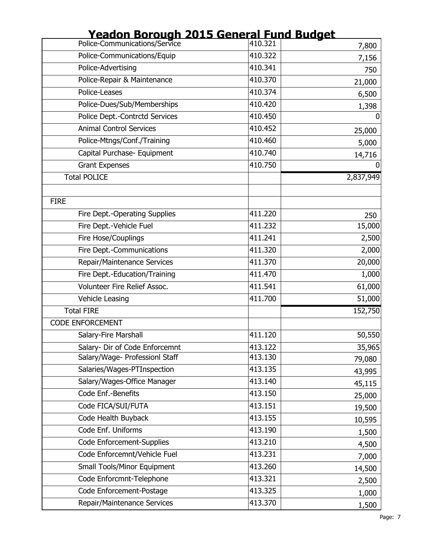| <u>readon Borough Zuis General Fund Budget</u><br>Police-Communications/Service 410.321 |         | 7,800     |
|-----------------------------------------------------------------------------------------|---------|-----------|
| Police-Communications/Equip                                                             | 410.322 | 7,156     |
| Police-Advertising                                                                      | 410.341 | 750       |
| Police-Repair & Maintenance                                                             | 410.370 | 21,000    |
| Police-Leases                                                                           | 410.374 | 6,500     |
| Police-Dues/Sub/Memberships                                                             | 410.420 | 1,398     |
| Police Dept.-Contrctd Services                                                          | 410.450 | 0         |
| <b>Animal Control Services</b>                                                          | 410.452 | 25,000    |
| Police-Mtngs/Conf./Training                                                             | 410.460 | 5,000     |
| Capital Purchase- Equipment                                                             | 410.740 | 14,716    |
| <b>Grant Expenses</b>                                                                   | 410.750 |           |
| <b>Total POLICE</b>                                                                     |         | 2,837,949 |
| <b>FIRE</b>                                                                             |         |           |
| Fire Dept.-Operating Supplies                                                           | 411.220 | 250       |
| Fire Dept.-Vehicle Fuel                                                                 | 411.232 | 15,000    |
| Fire Hose/Couplings                                                                     | 411.241 | 2,500     |
| Fire Dept.-Communications                                                               | 411.320 | 2,000     |
| Repair/Maintenance Services                                                             | 411.370 | 20,000    |
| Fire Dept.-Education/Training                                                           | 411.470 | 1,000     |
| Volunteer Fire Relief Assoc.                                                            | 411.541 | 61,000    |
| Vehicle Leasing                                                                         | 411.700 | 51,000    |
| <b>Total FIRE</b>                                                                       |         | 152,750   |
| <b>CODE ENFORCEMENT</b>                                                                 |         |           |
| Salary-Fire Marshall                                                                    | 411.120 | 50,550    |
| Salary- Dir of Code Enforcemnt                                                          | 413.122 | 35,965    |
| Salary/Wage- Professionl Staff                                                          | 413.130 | 79,080    |
| Salaries/Wages-PTInspection                                                             | 413.135 | 43,995    |
| Salary/Wages-Office Manager                                                             | 413.140 | 45,115    |
| Code Enf.-Benefits                                                                      | 413.150 | 25,000    |
| Code FICA/SUI/FUTA                                                                      | 413.151 | 19,500    |
| Code Health Buyback                                                                     | 413.155 | 10,595    |
| Code Enf. Uniforms                                                                      | 413.190 | 1,500     |
| Code Enforcement-Supplies                                                               | 413.210 | 4,500     |
| Code Enforcemnt/Vehicle Fuel                                                            | 413.231 | 7,000     |
| <b>Small Tools/Minor Equipment</b>                                                      | 413.260 | 14,500    |
| Code Enforcmnt-Telephone                                                                | 413.321 | 2,500     |
| Code Enforcement-Postage                                                                | 413.325 | 1,000     |
| Repair/Maintenance Services                                                             | 413.370 | 1,500     |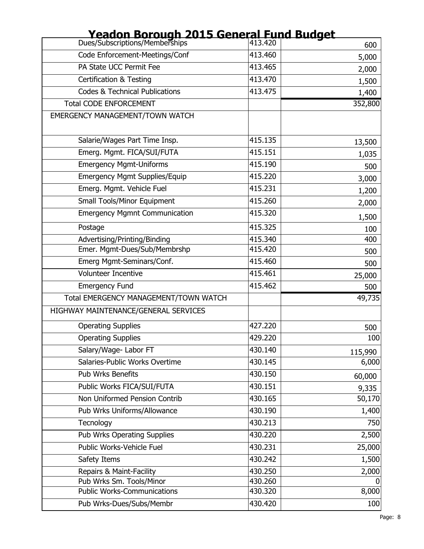| <b>Educit Burgul ZVI3 Serieral Fund Budget</b><br>Dues/Subscriptions/Memberships 413.420 |         | 600     |
|------------------------------------------------------------------------------------------|---------|---------|
| Code Enforcement-Meetings/Conf                                                           | 413.460 | 5,000   |
| PA State UCC Permit Fee                                                                  | 413.465 | 2,000   |
| <b>Certification &amp; Testing</b>                                                       | 413.470 | 1,500   |
| <b>Codes &amp; Technical Publications</b>                                                | 413.475 | 1,400   |
| <b>Total CODE ENFORCEMENT</b>                                                            |         | 352,800 |
| EMERGENCY MANAGEMENT/TOWN WATCH                                                          |         |         |
| Salarie/Wages Part Time Insp.                                                            | 415.135 | 13,500  |
| Emerg. Mgmt. FICA/SUI/FUTA                                                               | 415.151 | 1,035   |
| <b>Emergency Mgmt-Uniforms</b>                                                           | 415.190 | 500     |
| <b>Emergency Mgmt Supplies/Equip</b>                                                     | 415.220 | 3,000   |
| Emerg. Mgmt. Vehicle Fuel                                                                | 415.231 | 1,200   |
| <b>Small Tools/Minor Equipment</b>                                                       | 415.260 | 2,000   |
| <b>Emergency Mgmnt Communication</b>                                                     | 415.320 | 1,500   |
| Postage                                                                                  | 415.325 | 100     |
| Advertising/Printing/Binding                                                             | 415.340 | 400     |
| Emer. Mgmt-Dues/Sub/Membrshp                                                             | 415.420 | 500     |
| Emerg Mgmt-Seminars/Conf.                                                                | 415.460 | 500     |
| <b>Volunteer Incentive</b>                                                               | 415.461 | 25,000  |
| <b>Emergency Fund</b>                                                                    | 415.462 | 500     |
| Total EMERGENCY MANAGEMENT/TOWN WATCH                                                    |         | 49,735  |
| HIGHWAY MAINTENANCE/GENERAL SERVICES                                                     |         |         |
| <b>Operating Supplies</b>                                                                | 427.220 | 500     |
| <b>Operating Supplies</b>                                                                | 429.220 | 100     |
| Salary/Wage- Labor FT                                                                    | 430.140 | 115,990 |
| Salaries-Public Works Overtime                                                           | 430.145 | 6,000   |
| Pub Wrks Benefits                                                                        | 430.150 | 60,000  |
| Public Works FICA/SUI/FUTA                                                               | 430.151 | 9,335   |
| Non Uniformed Pension Contrib                                                            | 430.165 | 50,170  |
| Pub Wrks Uniforms/Allowance                                                              | 430.190 | 1,400   |
| Tecnology                                                                                | 430.213 | 750     |
| <b>Pub Wrks Operating Supplies</b>                                                       | 430.220 | 2,500   |
| Public Works-Vehicle Fuel                                                                | 430.231 | 25,000  |
| Safety Items                                                                             | 430.242 | 1,500   |
| Repairs & Maint-Facility                                                                 | 430.250 | 2,000   |
| Pub Wrks Sm. Tools/Minor                                                                 | 430.260 | 0       |
| <b>Public Works-Communications</b>                                                       | 430.320 | 8,000   |
| Pub Wrks-Dues/Subs/Membr                                                                 | 430.420 | 100     |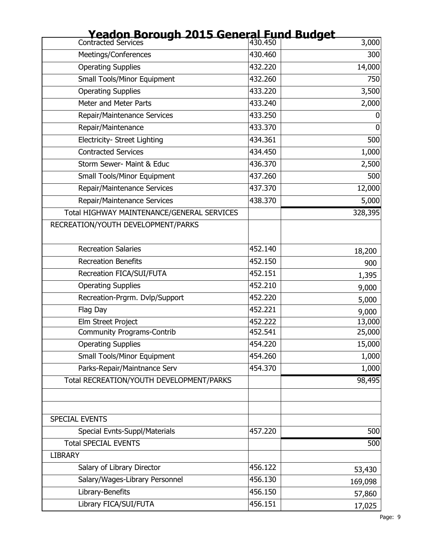| Yeadon Borough 2015 General Fund Budget    |         |                |
|--------------------------------------------|---------|----------------|
| <b>Contracted Services</b>                 | 430.450 | 3,000          |
| Meetings/Conferences                       | 430.460 | 300            |
| <b>Operating Supplies</b>                  | 432.220 | 14,000         |
| <b>Small Tools/Minor Equipment</b>         | 432.260 | 750            |
| <b>Operating Supplies</b>                  | 433.220 | 3,500          |
| Meter and Meter Parts                      | 433.240 | 2,000          |
| Repair/Maintenance Services                | 433.250 | 0              |
| Repair/Maintenance                         | 433.370 | $\overline{0}$ |
| Electricity- Street Lighting               | 434.361 | 500            |
| <b>Contracted Services</b>                 | 434.450 | 1,000          |
| Storm Sewer- Maint & Educ                  | 436.370 | 2,500          |
| <b>Small Tools/Minor Equipment</b>         | 437.260 | 500            |
| Repair/Maintenance Services                | 437.370 | 12,000         |
| Repair/Maintenance Services                | 438.370 | 5,000          |
| Total HIGHWAY MAINTENANCE/GENERAL SERVICES |         | 328,395        |
| RECREATION/YOUTH DEVELOPMENT/PARKS         |         |                |
| <b>Recreation Salaries</b>                 | 452.140 | 18,200         |
| <b>Recreation Benefits</b>                 | 452.150 | 900            |
| Recreation FICA/SUI/FUTA                   | 452.151 | 1,395          |
| <b>Operating Supplies</b>                  | 452.210 | 9,000          |
| Recreation-Prgrm. Dvlp/Support             | 452.220 | 5,000          |
| Flag Day                                   | 452.221 | 9,000          |
| Elm Street Project                         | 452.222 | 13,000         |
| <b>Community Programs-Contrib</b>          | 452.541 | 25,000         |
| <b>Operating Supplies</b>                  | 454.220 | 15,000         |
| <b>Small Tools/Minor Equipment</b>         | 454.260 | 1,000          |
| Parks-Repair/Maintnance Serv               | 454.370 | 1,000          |
| Total RECREATION/YOUTH DEVELOPMENT/PARKS   |         | 98,495         |
|                                            |         |                |
| <b>SPECIAL EVENTS</b>                      |         |                |
| Special Evnts-Suppl/Materials              | 457.220 | 500            |
| <b>Total SPECIAL EVENTS</b>                |         | 500            |
| <b>LIBRARY</b>                             |         |                |
| Salary of Library Director                 | 456.122 | 53,430         |
| Salary/Wages-Library Personnel             | 456.130 | 169,098        |
| Library-Benefits                           | 456.150 | 57,860         |
| Library FICA/SUI/FUTA                      | 456.151 | 17,025         |